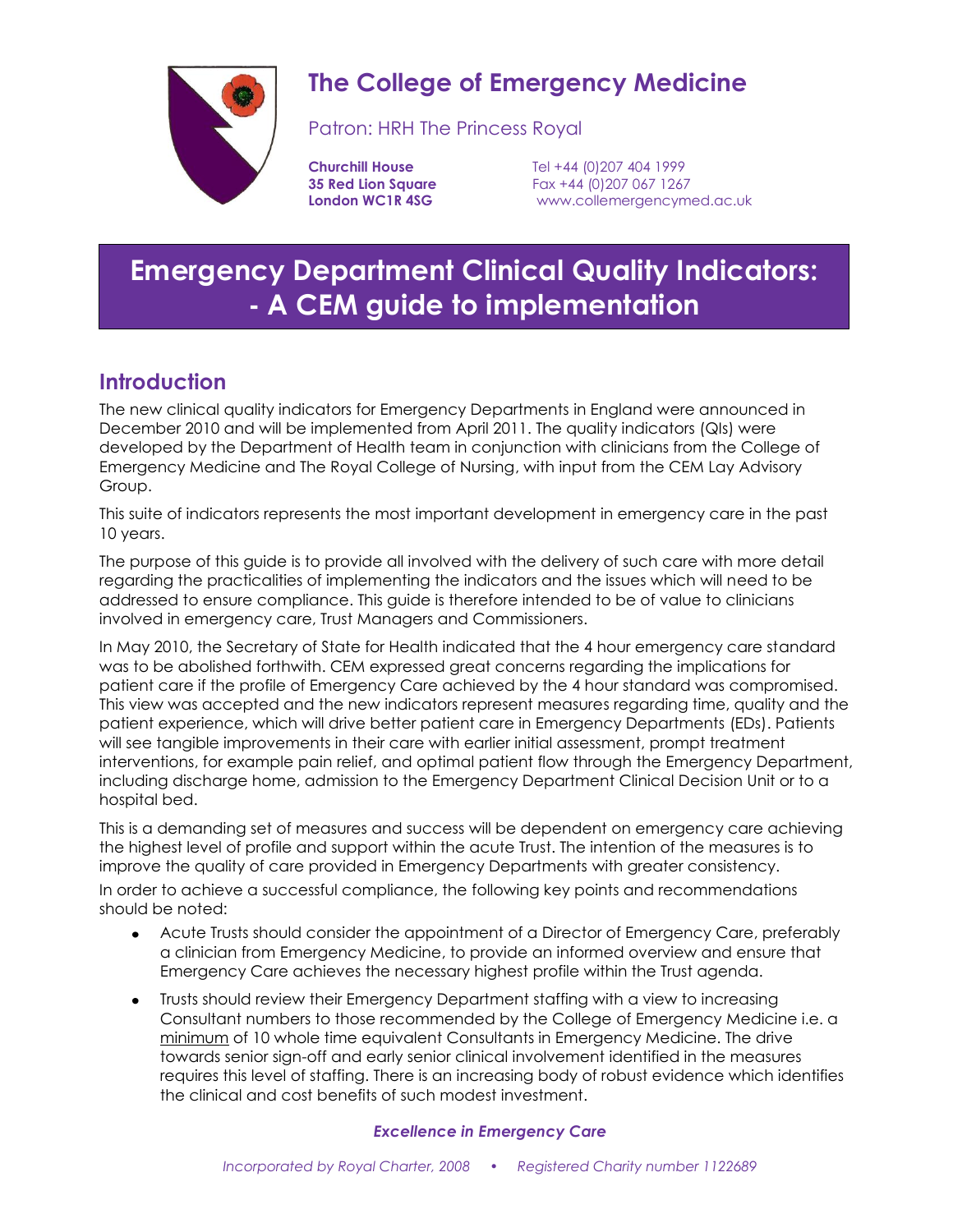

# **The College of Emergency Medicine**

Patron: HRH The Princess Royal

**Churchill House** Tel +44 (0)207 404 1999 **35 Red Lion Square** Fax +44 (0) 207 067 1267 **London WC1R 4SG** [www.collemergencymed.ac.uk](http://www.collemergencymed.ac.uk/)

# **Emergency Department Clinical Quality Indicators: - A CEM guide to implementation**

# **Introduction**

The new clinical quality indicators for Emergency Departments in England were announced in December 2010 and will be implemented from April 2011. The quality indicators (QIs) were developed by the Department of Health team in conjunction with clinicians from the College of Emergency Medicine and The Royal College of Nursing, with input from the CEM Lay Advisory Group.

This suite of indicators represents the most important development in emergency care in the past 10 years.

The purpose of this guide is to provide all involved with the delivery of such care with more detail regarding the practicalities of implementing the indicators and the issues which will need to be addressed to ensure compliance. This guide is therefore intended to be of value to clinicians involved in emergency care, Trust Managers and Commissioners.

In May 2010, the Secretary of State for Health indicated that the 4 hour emergency care standard was to be abolished forthwith. CEM expressed great concerns regarding the implications for patient care if the profile of Emergency Care achieved by the 4 hour standard was compromised. This view was accepted and the new indicators represent measures regarding time, quality and the patient experience, which will drive better patient care in Emergency Departments (EDs). Patients will see tangible improvements in their care with earlier initial assessment, prompt treatment interventions, for example pain relief, and optimal patient flow through the Emergency Department, including discharge home, admission to the Emergency Department Clinical Decision Unit or to a hospital bed.

This is a demanding set of measures and success will be dependent on emergency care achieving the highest level of profile and support within the acute Trust. The intention of the measures is to improve the quality of care provided in Emergency Departments with greater consistency.

In order to achieve a successful compliance, the following key points and recommendations should be noted:

- Acute Trusts should consider the appointment of a Director of Emergency Care, preferably a clinician from Emergency Medicine, to provide an informed overview and ensure that Emergency Care achieves the necessary highest profile within the Trust agenda.
- Trusts should review their Emergency Department staffing with a view to increasing  $\bullet$ Consultant numbers to those recommended by the College of Emergency Medicine i.e. a minimum of 10 whole time equivalent Consultants in Emergency Medicine. The drive towards senior sign-off and early senior clinical involvement identified in the measures requires this level of staffing. There is an increasing body of robust evidence which identifies the clinical and cost benefits of such modest investment.

# *Excellence in Emergency Care*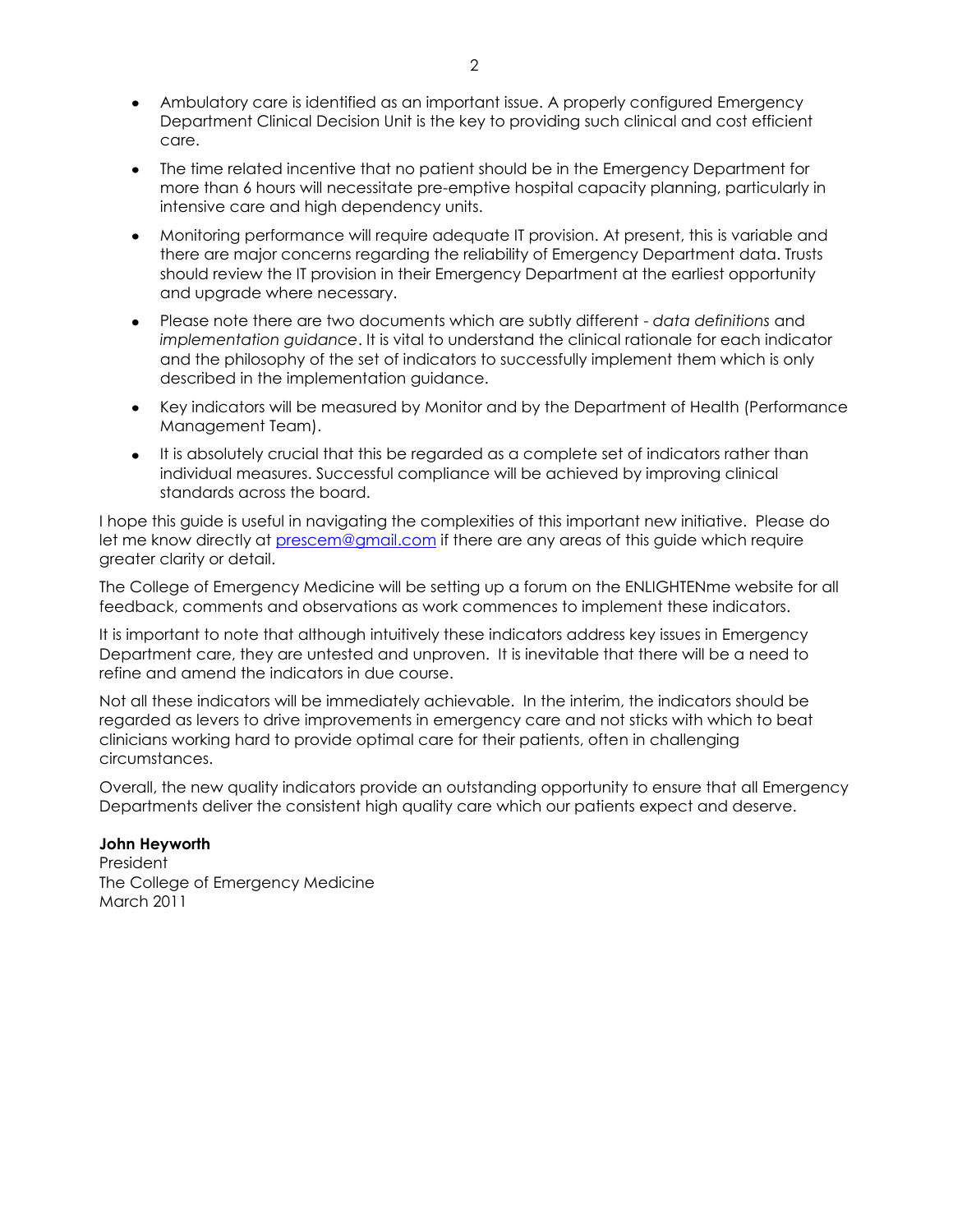- Ambulatory care is identified as an important issue. A properly configured Emergency Department Clinical Decision Unit is the key to providing such clinical and cost efficient care.
- $\bullet$ The time related incentive that no patient should be in the Emergency Department for more than 6 hours will necessitate pre-emptive hospital capacity planning, particularly in intensive care and high dependency units.
- Monitoring performance will require adequate IT provision. At present, this is variable and  $\bullet$ there are major concerns regarding the reliability of Emergency Department data. Trusts should review the IT provision in their Emergency Department at the earliest opportunity and upgrade where necessary.
- Please note there are two documents which are subtly different *data definitions* and  $\bullet$ *implementation guidance*. It is vital to understand the clinical rationale for each indicator and the philosophy of the set of indicators to successfully implement them which is only described in the implementation guidance.
- Key indicators will be measured by Monitor and by the Department of Health (Performance  $\bullet$ Management Team).
- It is absolutely crucial that this be regarded as a complete set of indicators rather than  $\bullet$ individual measures. Successful compliance will be achieved by improving clinical standards across the board.

I hope this guide is useful in navigating the complexities of this important new initiative. Please do let me know directly at [prescem@gmail.com](mailto:prescem@gmail.com) if there are any areas of this guide which require greater clarity or detail.

The College of Emergency Medicine will be setting up a forum on the ENLIGHTENme website for all feedback, comments and observations as work commences to implement these indicators.

It is important to note that although intuitively these indicators address key issues in Emergency Department care, they are untested and unproven. It is inevitable that there will be a need to refine and amend the indicators in due course.

Not all these indicators will be immediately achievable. In the interim, the indicators should be regarded as levers to drive improvements in emergency care and not sticks with which to beat clinicians working hard to provide optimal care for their patients, often in challenging circumstances.

Overall, the new quality indicators provide an outstanding opportunity to ensure that all Emergency Departments deliver the consistent high quality care which our patients expect and deserve.

#### **John Heyworth**

President The College of Emergency Medicine March 2011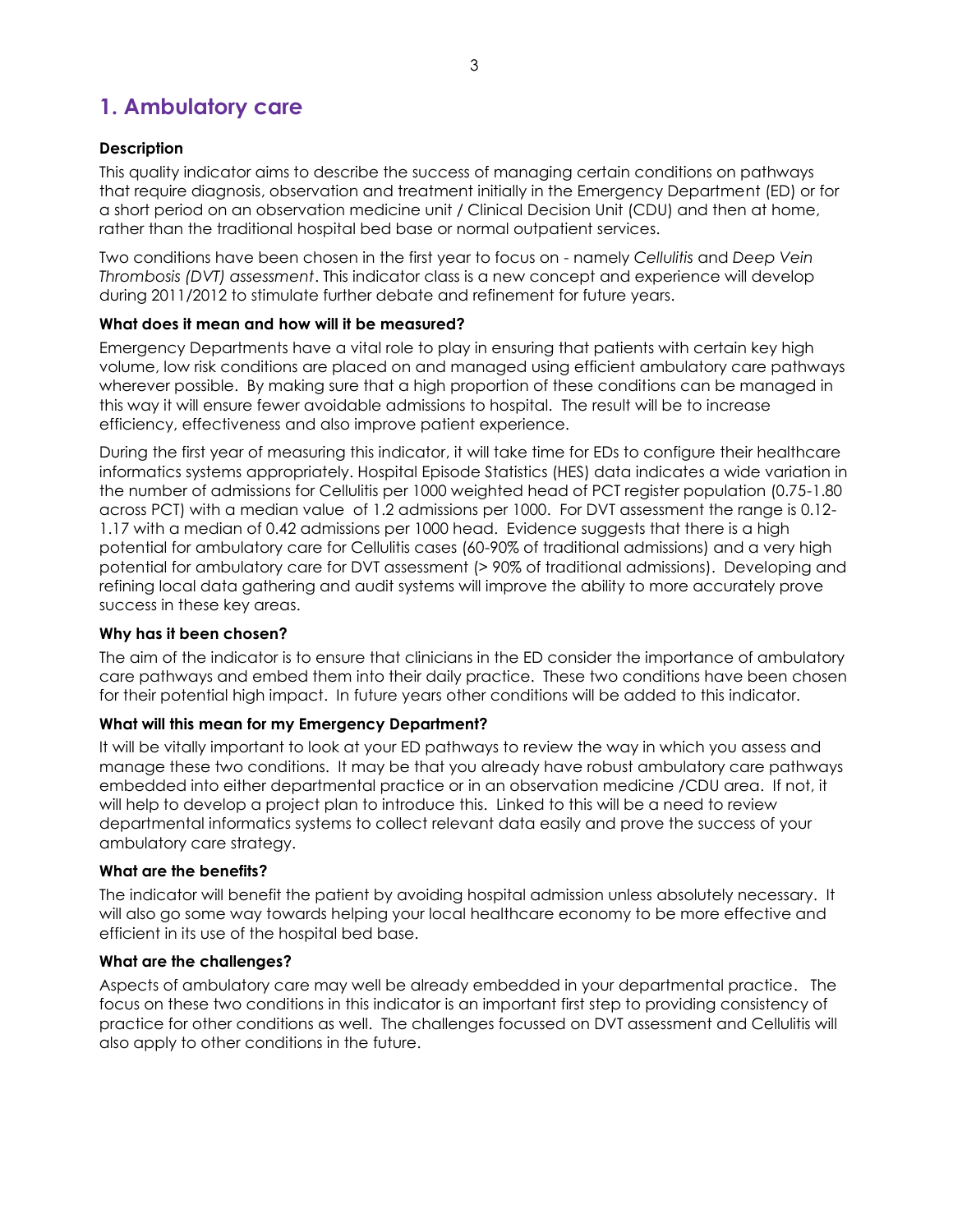# **1. Ambulatory care**

# **Description**

This quality indicator aims to describe the success of managing certain conditions on pathways that require diagnosis, observation and treatment initially in the Emergency Department (ED) or for a short period on an observation medicine unit / Clinical Decision Unit (CDU) and then at home, rather than the traditional hospital bed base or normal outpatient services.

Two conditions have been chosen in the first year to focus on - namely *Cellulitis* and *Deep Vein Thrombosis (DVT) assessment*. This indicator class is a new concept and experience will develop during 2011/2012 to stimulate further debate and refinement for future years.

# **What does it mean and how will it be measured?**

Emergency Departments have a vital role to play in ensuring that patients with certain key high volume, low risk conditions are placed on and managed using efficient ambulatory care pathways wherever possible. By making sure that a high proportion of these conditions can be managed in this way it will ensure fewer avoidable admissions to hospital. The result will be to increase efficiency, effectiveness and also improve patient experience.

During the first year of measuring this indicator, it will take time for EDs to configure their healthcare informatics systems appropriately. Hospital Episode Statistics (HES) data indicates a wide variation in the number of admissions for Cellulitis per 1000 weighted head of PCT register population (0.75-1.80 across PCT) with a median value of 1.2 admissions per 1000. For DVT assessment the range is 0.12- 1.17 with a median of 0.42 admissions per 1000 head. Evidence suggests that there is a high potential for ambulatory care for Cellulitis cases (60-90% of traditional admissions) and a very high potential for ambulatory care for DVT assessment (> 90% of traditional admissions). Developing and refining local data gathering and audit systems will improve the ability to more accurately prove success in these key areas.

# **Why has it been chosen?**

The aim of the indicator is to ensure that clinicians in the ED consider the importance of ambulatory care pathways and embed them into their daily practice. These two conditions have been chosen for their potential high impact. In future years other conditions will be added to this indicator.

# **What will this mean for my Emergency Department?**

It will be vitally important to look at your ED pathways to review the way in which you assess and manage these two conditions. It may be that you already have robust ambulatory care pathways embedded into either departmental practice or in an observation medicine /CDU area. If not, it will help to develop a project plan to introduce this. Linked to this will be a need to review departmental informatics systems to collect relevant data easily and prove the success of your ambulatory care strategy.

# **What are the benefits?**

The indicator will benefit the patient by avoiding hospital admission unless absolutely necessary. It will also go some way towards helping your local healthcare economy to be more effective and efficient in its use of the hospital bed base.

#### **What are the challenges?**

Aspects of ambulatory care may well be already embedded in your departmental practice. The focus on these two conditions in this indicator is an important first step to providing consistency of practice for other conditions as well. The challenges focussed on DVT assessment and Cellulitis will also apply to other conditions in the future.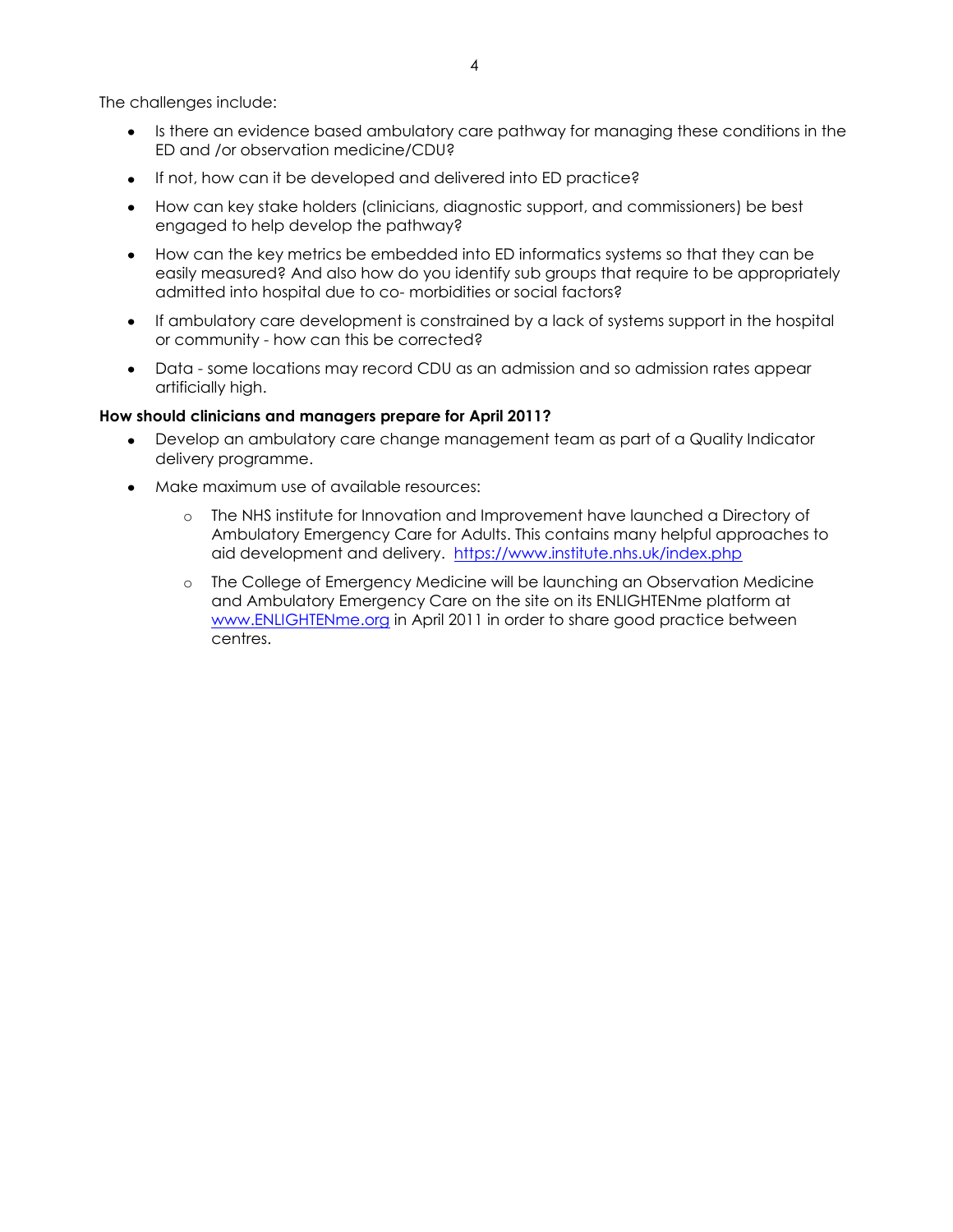The challenges include:

- Is there an evidence based ambulatory care pathway for managing these conditions in the ED and /or observation medicine/CDU?
- If not, how can it be developed and delivered into ED practice?
- How can key stake holders (clinicians, diagnostic support, and commissioners) be best engaged to help develop the pathway?
- How can the key metrics be embedded into ED informatics systems so that they can be easily measured? And also how do you identify sub groups that require to be appropriately admitted into hospital due to co- morbidities or social factors?
- $\bullet$ If ambulatory care development is constrained by a lack of systems support in the hospital or community - how can this be corrected?
- Data some locations may record CDU as an admission and so admission rates appear artificially high.

- Develop an ambulatory care change management team as part of a Quality Indicator delivery programme.
- Make maximum use of available resources:
	- o The NHS institute for Innovation and Improvement have launched a Directory of Ambulatory Emergency Care for Adults. This contains many helpful approaches to aid development and delivery. <https://www.institute.nhs.uk/index.php>
	- o The College of Emergency Medicine will be launching an Observation Medicine and Ambulatory Emergency Care on the site on its ENLIGHTENme platform at [www.ENLIGHTENme.org](http://www.enlightenme.org/) in April 2011 in order to share good practice between centres.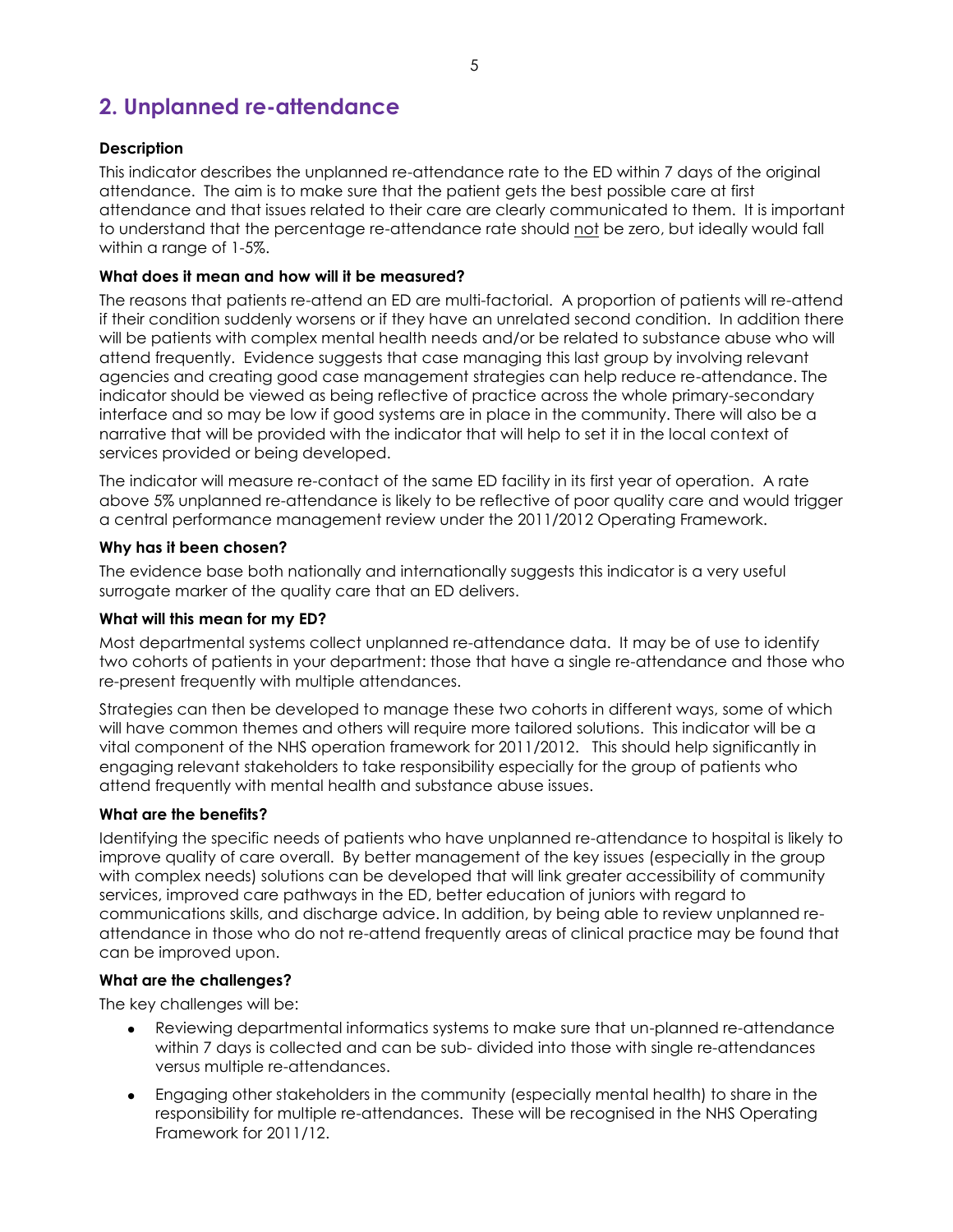# **2. Unplanned re-attendance**

### **Description**

This indicator describes the unplanned re-attendance rate to the ED within 7 days of the original attendance. The aim is to make sure that the patient gets the best possible care at first attendance and that issues related to their care are clearly communicated to them. It is important to understand that the percentage re-attendance rate should not be zero, but ideally would fall within a range of 1-5%.

### **What does it mean and how will it be measured?**

The reasons that patients re-attend an ED are multi-factorial. A proportion of patients will re-attend if their condition suddenly worsens or if they have an unrelated second condition. In addition there will be patients with complex mental health needs and/or be related to substance abuse who will attend frequently. Evidence suggests that case managing this last group by involving relevant agencies and creating good case management strategies can help reduce re-attendance. The indicator should be viewed as being reflective of practice across the whole primary-secondary interface and so may be low if good systems are in place in the community. There will also be a narrative that will be provided with the indicator that will help to set it in the local context of services provided or being developed.

The indicator will measure re-contact of the same ED facility in its first year of operation. A rate above 5% unplanned re-attendance is likely to be reflective of poor quality care and would trigger a central performance management review under the 2011/2012 Operating Framework.

#### **Why has it been chosen?**

The evidence base both nationally and internationally suggests this indicator is a very useful surrogate marker of the quality care that an ED delivers.

#### **What will this mean for my ED?**

Most departmental systems collect unplanned re-attendance data. It may be of use to identify two cohorts of patients in your department: those that have a single re-attendance and those who re-present frequently with multiple attendances.

Strategies can then be developed to manage these two cohorts in different ways, some of which will have common themes and others will require more tailored solutions. This indicator will be a vital component of the NHS operation framework for 2011/2012. This should help significantly in engaging relevant stakeholders to take responsibility especially for the group of patients who attend frequently with mental health and substance abuse issues.

#### **What are the benefits?**

Identifying the specific needs of patients who have unplanned re-attendance to hospital is likely to improve quality of care overall. By better management of the key issues (especially in the group with complex needs) solutions can be developed that will link greater accessibility of community services, improved care pathways in the ED, better education of juniors with regard to communications skills, and discharge advice. In addition, by being able to review unplanned reattendance in those who do not re-attend frequently areas of clinical practice may be found that can be improved upon.

#### **What are the challenges?**

The key challenges will be:

- Reviewing departmental informatics systems to make sure that un-planned re-attendance within 7 days is collected and can be sub- divided into those with single re-attendances versus multiple re-attendances.
- Engaging other stakeholders in the community (especially mental health) to share in the responsibility for multiple re-attendances. These will be recognised in the NHS Operating Framework for 2011/12.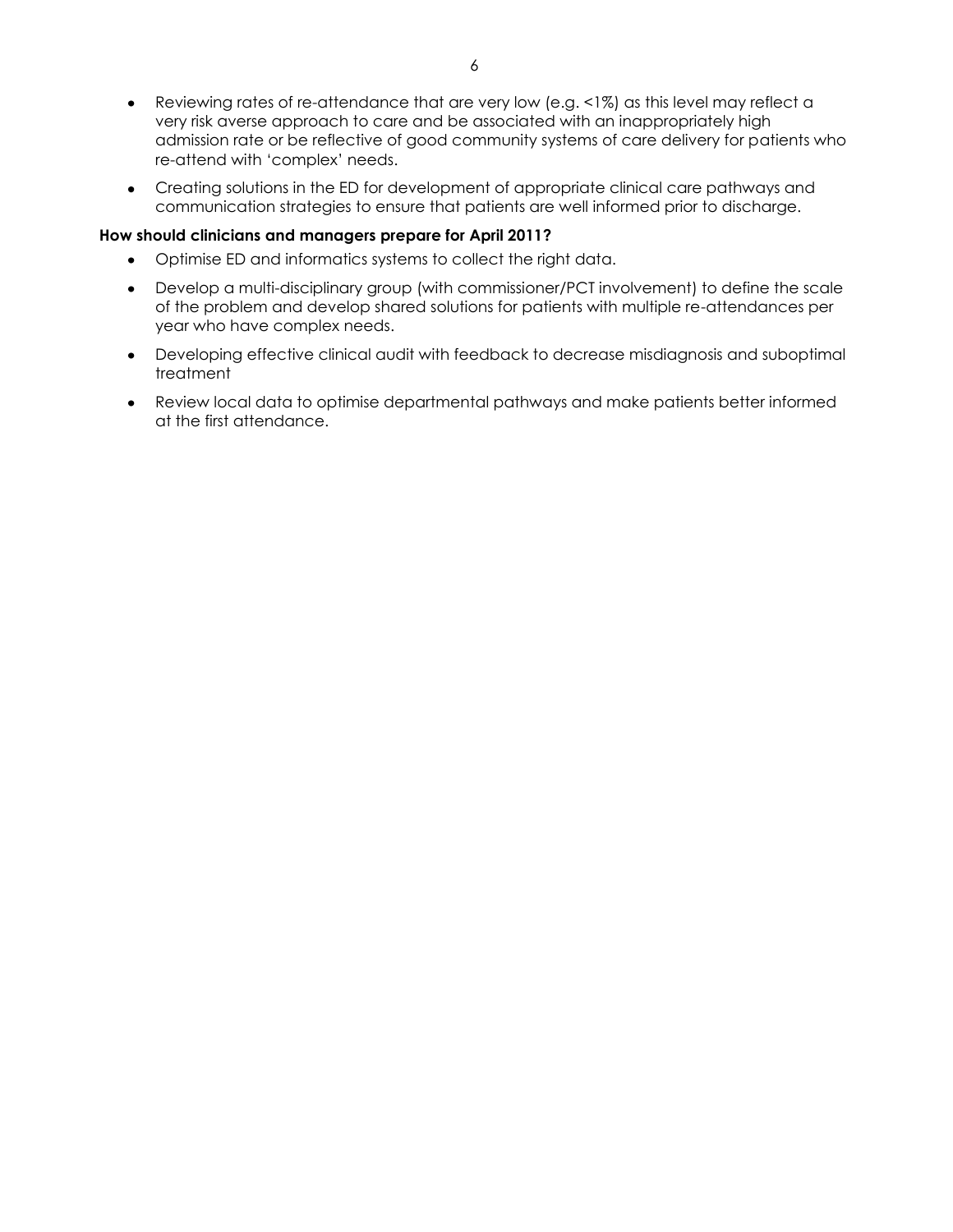- Reviewing rates of re-attendance that are very low (e.g. <1%) as this level may reflect a very risk averse approach to care and be associated with an inappropriately high admission rate or be reflective of good community systems of care delivery for patients who re-attend with "complex" needs.
- Creating solutions in the ED for development of appropriate clinical care pathways and communication strategies to ensure that patients are well informed prior to discharge.

- Optimise ED and informatics systems to collect the right data.  $\bullet$
- Develop a multi-disciplinary group (with commissioner/PCT involvement) to define the scale of the problem and develop shared solutions for patients with multiple re-attendances per year who have complex needs.
- Developing effective clinical audit with feedback to decrease misdiagnosis and suboptimal treatment
- Review local data to optimise departmental pathways and make patients better informed at the first attendance.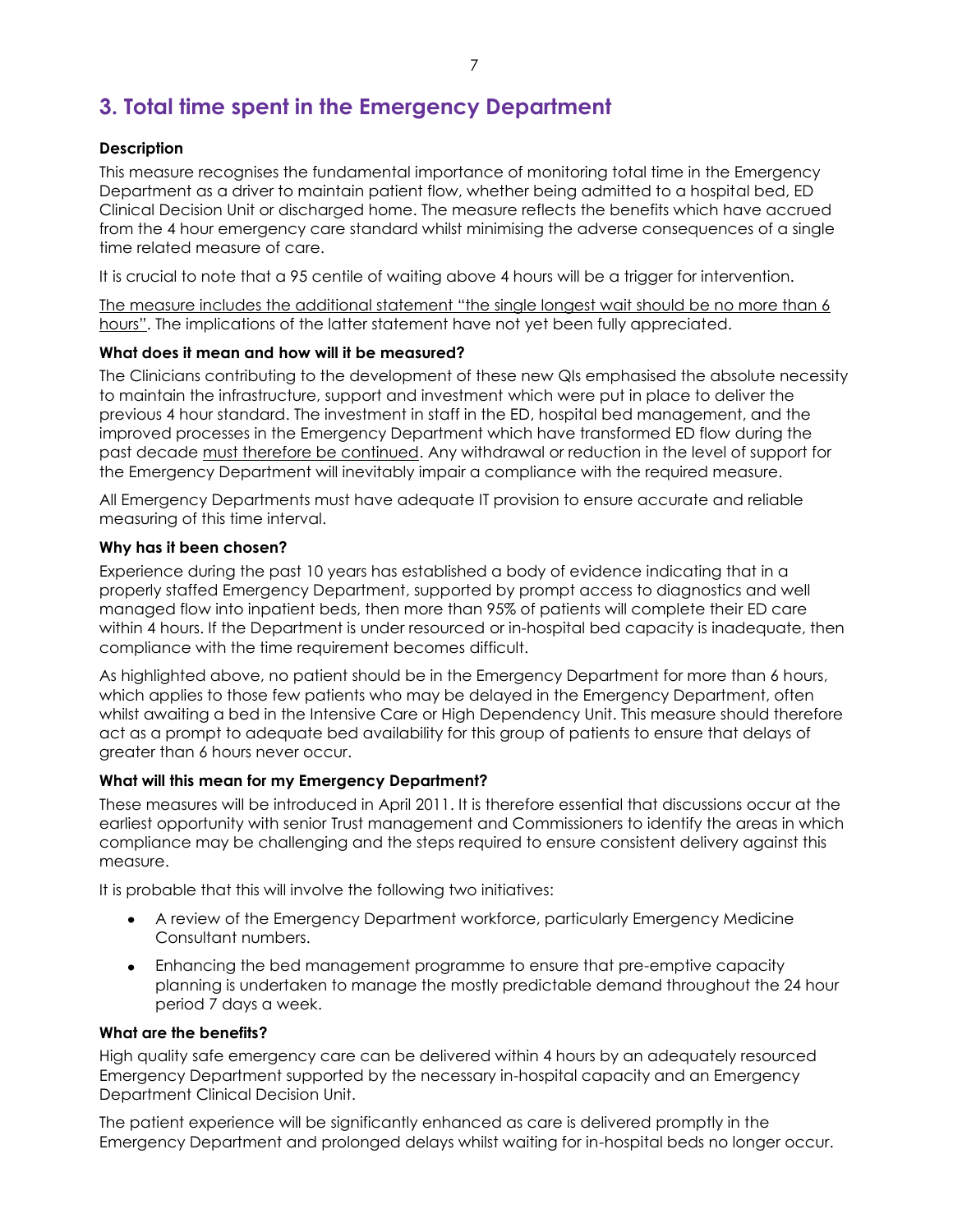# **3. Total time spent in the Emergency Department**

#### **Description**

This measure recognises the fundamental importance of monitoring total time in the Emergency Department as a driver to maintain patient flow, whether being admitted to a hospital bed, ED Clinical Decision Unit or discharged home. The measure reflects the benefits which have accrued from the 4 hour emergency care standard whilst minimising the adverse consequences of a single time related measure of care.

It is crucial to note that a 95 centile of waiting above 4 hours will be a trigger for intervention.

The measure includes the additional statement "the single longest wait should be no more than 6 hours". The implications of the latter statement have not yet been fully appreciated.

#### **What does it mean and how will it be measured?**

The Clinicians contributing to the development of these new QIs emphasised the absolute necessity to maintain the infrastructure, support and investment which were put in place to deliver the previous 4 hour standard. The investment in staff in the ED, hospital bed management, and the improved processes in the Emergency Department which have transformed ED flow during the past decade must therefore be continued. Any withdrawal or reduction in the level of support for the Emergency Department will inevitably impair a compliance with the required measure.

All Emergency Departments must have adequate IT provision to ensure accurate and reliable measuring of this time interval.

#### **Why has it been chosen?**

Experience during the past 10 years has established a body of evidence indicating that in a properly staffed Emergency Department, supported by prompt access to diagnostics and well managed flow into inpatient beds, then more than 95% of patients will complete their ED care within 4 hours. If the Department is under resourced or in-hospital bed capacity is inadequate, then compliance with the time requirement becomes difficult.

As highlighted above, no patient should be in the Emergency Department for more than 6 hours, which applies to those few patients who may be delayed in the Emergency Department, often whilst awaiting a bed in the Intensive Care or High Dependency Unit. This measure should therefore act as a prompt to adequate bed availability for this group of patients to ensure that delays of greater than 6 hours never occur.

#### **What will this mean for my Emergency Department?**

These measures will be introduced in April 2011. It is therefore essential that discussions occur at the earliest opportunity with senior Trust management and Commissioners to identify the areas in which compliance may be challenging and the steps required to ensure consistent delivery against this measure.

It is probable that this will involve the following two initiatives:

- A review of the Emergency Department workforce, particularly Emergency Medicine Consultant numbers.
- Enhancing the bed management programme to ensure that pre-emptive capacity planning is undertaken to manage the mostly predictable demand throughout the 24 hour period 7 days a week.

#### **What are the benefits?**

High quality safe emergency care can be delivered within 4 hours by an adequately resourced Emergency Department supported by the necessary in-hospital capacity and an Emergency Department Clinical Decision Unit.

The patient experience will be significantly enhanced as care is delivered promptly in the Emergency Department and prolonged delays whilst waiting for in-hospital beds no longer occur.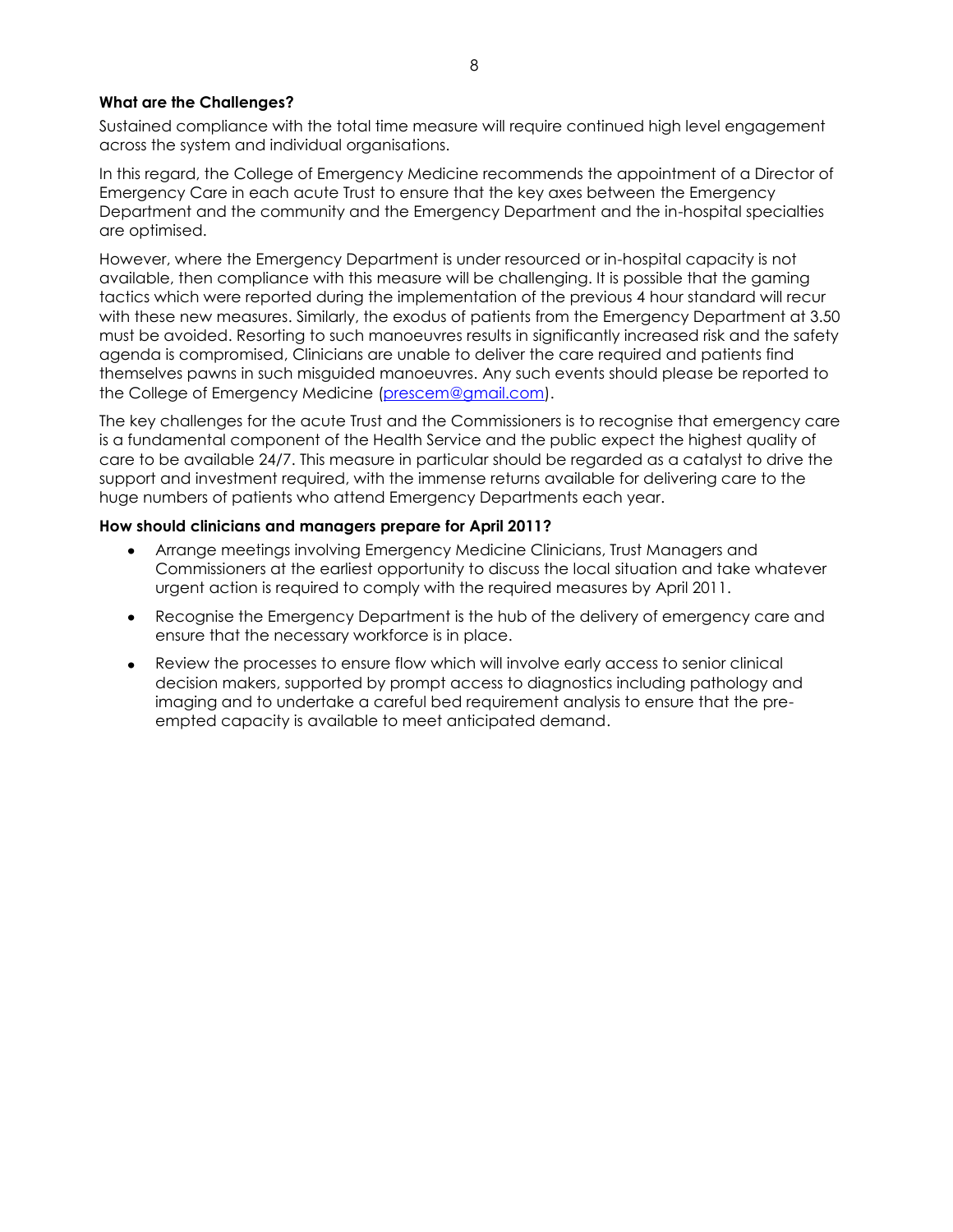#### **What are the Challenges?**

Sustained compliance with the total time measure will require continued high level engagement across the system and individual organisations.

In this regard, the College of Emergency Medicine recommends the appointment of a Director of Emergency Care in each acute Trust to ensure that the key axes between the Emergency Department and the community and the Emergency Department and the in-hospital specialties are optimised.

However, where the Emergency Department is under resourced or in-hospital capacity is not available, then compliance with this measure will be challenging. It is possible that the gaming tactics which were reported during the implementation of the previous 4 hour standard will recur with these new measures. Similarly, the exodus of patients from the Emergency Department at 3.50 must be avoided. Resorting to such manoeuvres results in significantly increased risk and the safety agenda is compromised, Clinicians are unable to deliver the care required and patients find themselves pawns in such misguided manoeuvres. Any such events should please be reported to the College of Emergency Medicine [\(prescem@gmail.com\)](mailto:prescem@gmail.com).

The key challenges for the acute Trust and the Commissioners is to recognise that emergency care is a fundamental component of the Health Service and the public expect the highest quality of care to be available 24/7. This measure in particular should be regarded as a catalyst to drive the support and investment required, with the immense returns available for delivering care to the huge numbers of patients who attend Emergency Departments each year.

- Arrange meetings involving Emergency Medicine Clinicians, Trust Managers and Commissioners at the earliest opportunity to discuss the local situation and take whatever urgent action is required to comply with the required measures by April 2011.
- Recognise the Emergency Department is the hub of the delivery of emergency care and ensure that the necessary workforce is in place.
- Review the processes to ensure flow which will involve early access to senior clinical decision makers, supported by prompt access to diagnostics including pathology and imaging and to undertake a careful bed requirement analysis to ensure that the preempted capacity is available to meet anticipated demand.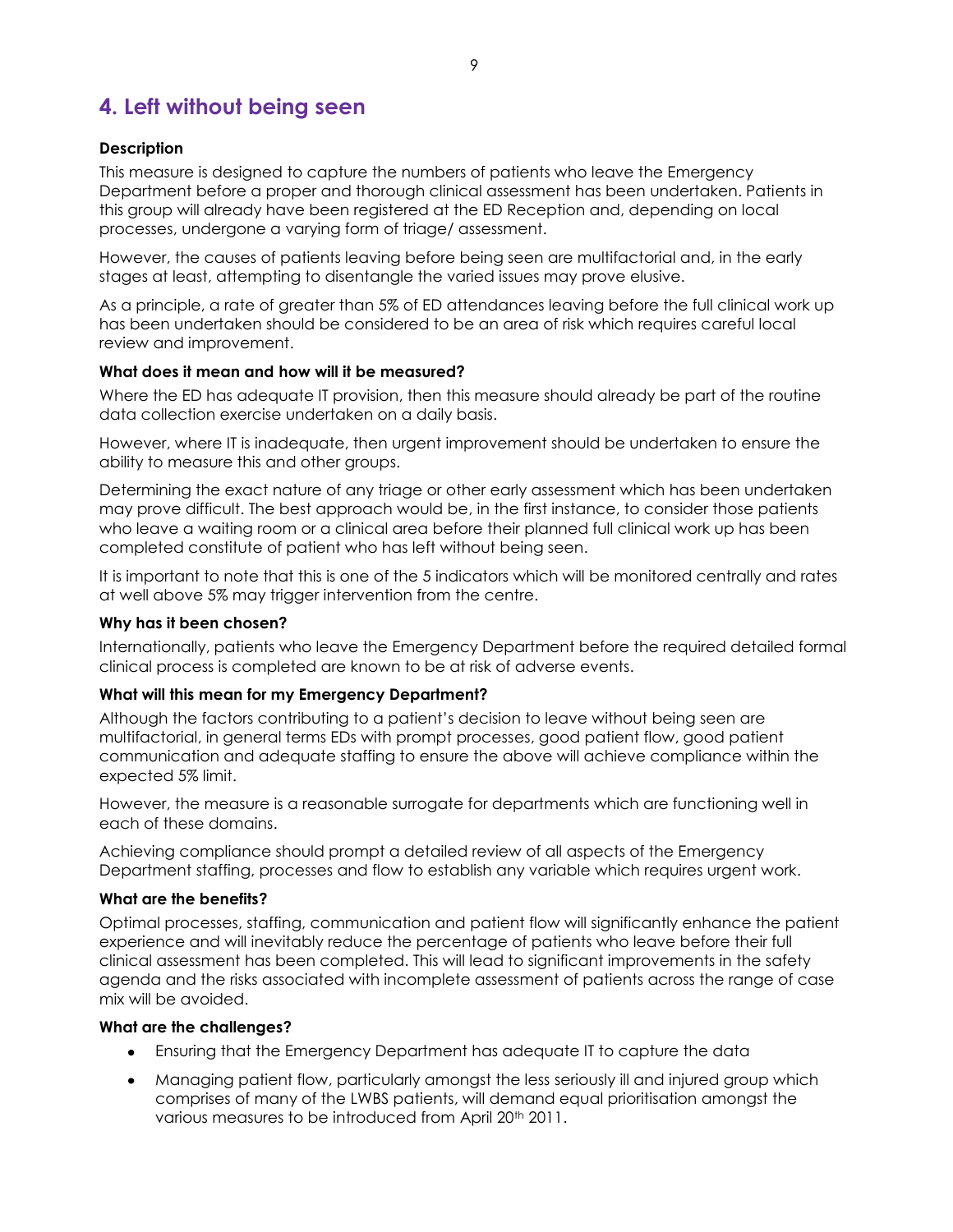# **4. Left without being seen**

### **Description**

This measure is designed to capture the numbers of patients who leave the Emergency Department before a proper and thorough clinical assessment has been undertaken. Patients in this group will already have been registered at the ED Reception and, depending on local processes, undergone a varying form of triage/ assessment.

However, the causes of patients leaving before being seen are multifactorial and, in the early stages at least, attempting to disentangle the varied issues may prove elusive.

As a principle, a rate of greater than 5% of ED attendances leaving before the full clinical work up has been undertaken should be considered to be an area of risk which requires careful local review and improvement.

# **What does it mean and how will it be measured?**

Where the ED has adequate IT provision, then this measure should already be part of the routine data collection exercise undertaken on a daily basis.

However, where IT is inadequate, then urgent improvement should be undertaken to ensure the ability to measure this and other groups.

Determining the exact nature of any triage or other early assessment which has been undertaken may prove difficult. The best approach would be, in the first instance, to consider those patients who leave a waiting room or a clinical area before their planned full clinical work up has been completed constitute of patient who has left without being seen.

It is important to note that this is one of the 5 indicators which will be monitored centrally and rates at well above 5% may trigger intervention from the centre.

#### **Why has it been chosen?**

Internationally, patients who leave the Emergency Department before the required detailed formal clinical process is completed are known to be at risk of adverse events.

#### **What will this mean for my Emergency Department?**

Although the factors contributing to a patient"s decision to leave without being seen are multifactorial, in general terms EDs with prompt processes, good patient flow, good patient communication and adequate staffing to ensure the above will achieve compliance within the expected 5% limit.

However, the measure is a reasonable surrogate for departments which are functioning well in each of these domains.

Achieving compliance should prompt a detailed review of all aspects of the Emergency Department staffing, processes and flow to establish any variable which requires urgent work.

#### **What are the benefits?**

Optimal processes, staffing, communication and patient flow will significantly enhance the patient experience and will inevitably reduce the percentage of patients who leave before their full clinical assessment has been completed. This will lead to significant improvements in the safety agenda and the risks associated with incomplete assessment of patients across the range of case mix will be avoided.

# **What are the challenges?**

- Ensuring that the Emergency Department has adequate IT to capture the data
- Managing patient flow, particularly amongst the less seriously ill and injured group which comprises of many of the LWBS patients, will demand equal prioritisation amongst the various measures to be introduced from April 20<sup>th</sup> 2011.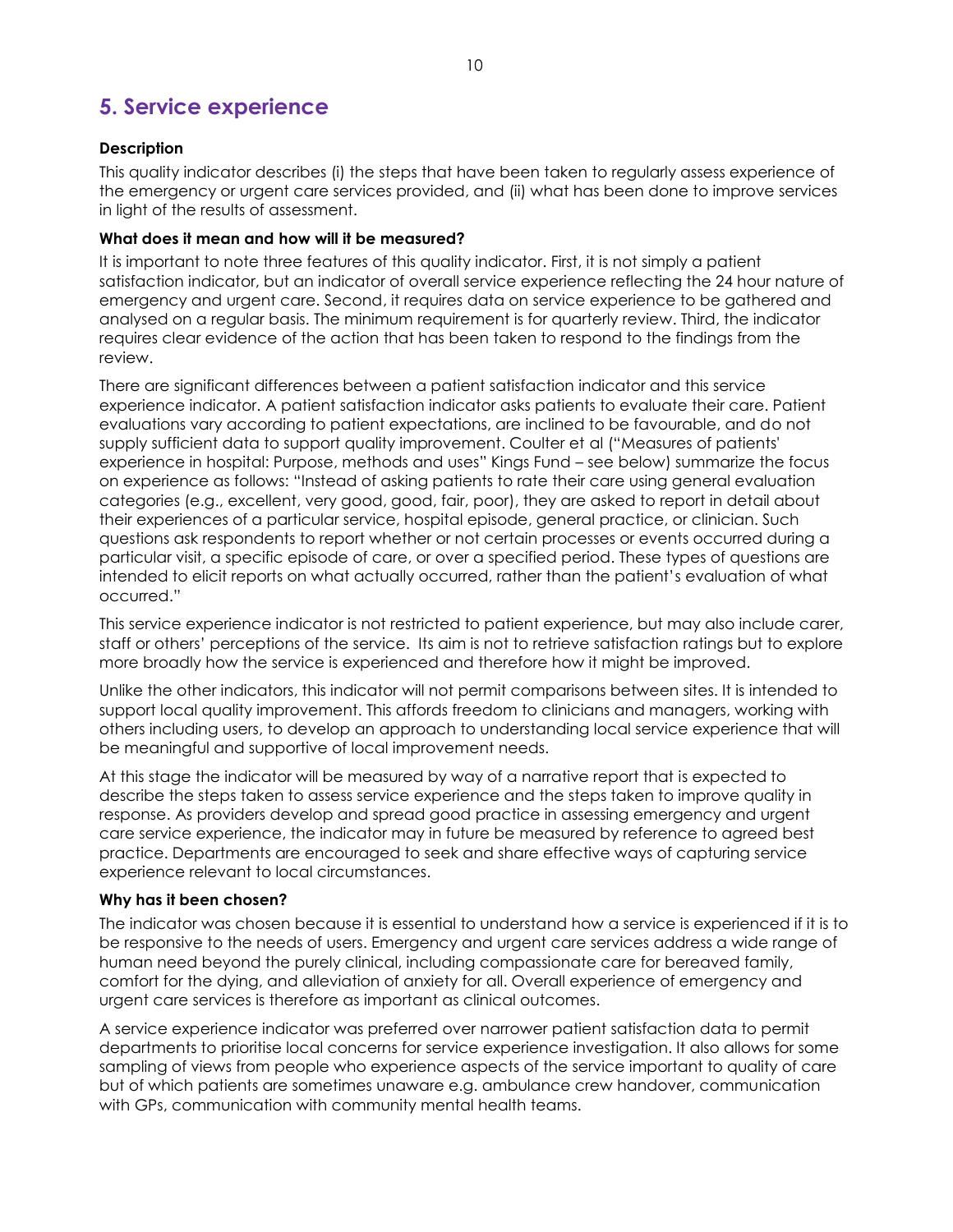# **5. Service experience**

### **Description**

This quality indicator describes (i) the steps that have been taken to regularly assess experience of the emergency or urgent care services provided, and (ii) what has been done to improve services in light of the results of assessment.

#### **What does it mean and how will it be measured?**

It is important to note three features of this quality indicator. First, it is not simply a patient satisfaction indicator, but an indicator of overall service experience reflecting the 24 hour nature of emergency and urgent care. Second, it requires data on service experience to be gathered and analysed on a regular basis. The minimum requirement is for quarterly review. Third, the indicator requires clear evidence of the action that has been taken to respond to the findings from the review.

There are significant differences between a patient satisfaction indicator and this service experience indicator. A patient satisfaction indicator asks patients to evaluate their care. Patient evaluations vary according to patient expectations, are inclined to be favourable, and do not supply sufficient data to support quality improvement. Coulter et al ("Measures of patients' experience in hospital: Purpose, methods and uses" Kings Fund – see below) summarize the focus on experience as follows: "Instead of asking patients to rate their care using general evaluation categories (e.g., excellent, very good, good, fair, poor), they are asked to report in detail about their experiences of a particular service, hospital episode, general practice, or clinician. Such questions ask respondents to report whether or not certain processes or events occurred during a particular visit, a specific episode of care, or over a specified period. These types of questions are intended to elicit reports on what actually occurred, rather than the patient"s evaluation of what occurred."

This service experience indicator is not restricted to patient experience, but may also include carer, staff or others" perceptions of the service. Its aim is not to retrieve satisfaction ratings but to explore more broadly how the service is experienced and therefore how it might be improved.

Unlike the other indicators, this indicator will not permit comparisons between sites. It is intended to support local quality improvement. This affords freedom to clinicians and managers, working with others including users, to develop an approach to understanding local service experience that will be meaningful and supportive of local improvement needs.

At this stage the indicator will be measured by way of a narrative report that is expected to describe the steps taken to assess service experience and the steps taken to improve quality in response. As providers develop and spread good practice in assessing emergency and urgent care service experience, the indicator may in future be measured by reference to agreed best practice. Departments are encouraged to seek and share effective ways of capturing service experience relevant to local circumstances.

#### **Why has it been chosen?**

The indicator was chosen because it is essential to understand how a service is experienced if it is to be responsive to the needs of users. Emergency and urgent care services address a wide range of human need beyond the purely clinical, including compassionate care for bereaved family, comfort for the dying, and alleviation of anxiety for all. Overall experience of emergency and urgent care services is therefore as important as clinical outcomes.

A service experience indicator was preferred over narrower patient satisfaction data to permit departments to prioritise local concerns for service experience investigation. It also allows for some sampling of views from people who experience aspects of the service important to quality of care but of which patients are sometimes unaware e.g. ambulance crew handover, communication with GPs, communication with community mental health teams.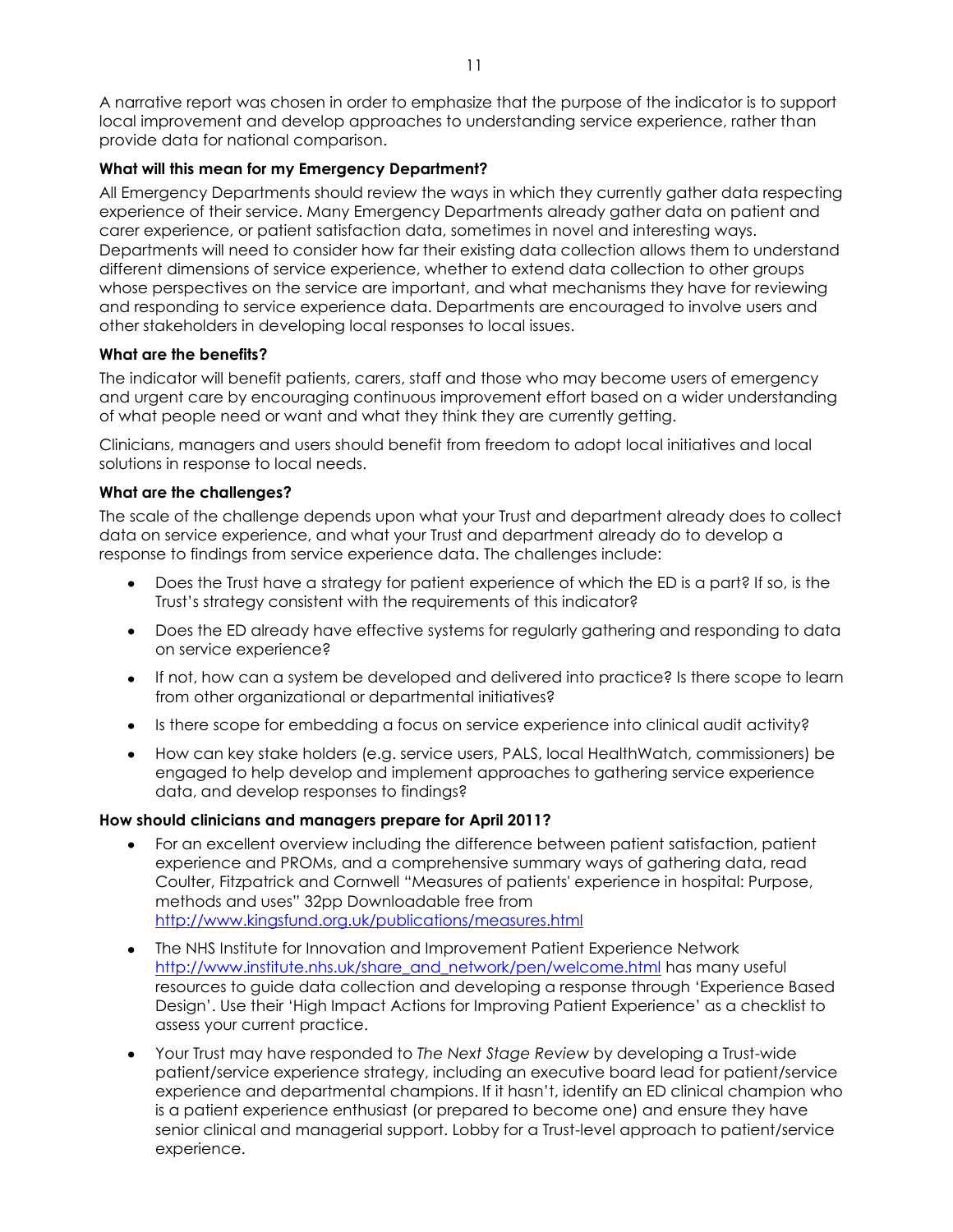A narrative report was chosen in order to emphasize that the purpose of the indicator is to support local improvement and develop approaches to understanding service experience, rather than provide data for national comparison.

### **What will this mean for my Emergency Department?**

All Emergency Departments should review the ways in which they currently gather data respecting experience of their service. Many Emergency Departments already gather data on patient and carer experience, or patient satisfaction data, sometimes in novel and interesting ways. Departments will need to consider how far their existing data collection allows them to understand different dimensions of service experience, whether to extend data collection to other groups whose perspectives on the service are important, and what mechanisms they have for reviewing and responding to service experience data. Departments are encouraged to involve users and other stakeholders in developing local responses to local issues.

#### **What are the benefits?**

The indicator will benefit patients, carers, staff and those who may become users of emergency and urgent care by encouraging continuous improvement effort based on a wider understanding of what people need or want and what they think they are currently getting.

Clinicians, managers and users should benefit from freedom to adopt local initiatives and local solutions in response to local needs.

### **What are the challenges?**

The scale of the challenge depends upon what your Trust and department already does to collect data on service experience, and what your Trust and department already do to develop a response to findings from service experience data. The challenges include:

- Does the Trust have a strategy for patient experience of which the ED is a part? If so, is the Trust"s strategy consistent with the requirements of this indicator?
- Does the ED already have effective systems for regularly gathering and responding to data on service experience?
- If not, how can a system be developed and delivered into practice? Is there scope to learn from other organizational or departmental initiatives?
- Is there scope for embedding a focus on service experience into clinical audit activity?
- How can key stake holders (e.g. service users, PALS, local HealthWatch, commissioners) be  $\bullet$ engaged to help develop and implement approaches to gathering service experience data, and develop responses to findings?

- For an excellent overview including the difference between patient satisfaction, patient experience and PROMs, and a comprehensive summary ways of gathering data, read Coulter, Fitzpatrick and Cornwell "Measures of patients' experience in hospital: Purpose, methods and uses" 32pp Downloadable free from <http://www.kingsfund.org.uk/publications/measures.html>
- The NHS Institute for Innovation and Improvement Patient Experience Network [http://www.institute.nhs.uk/share\\_and\\_network/pen/welcome.html](http://www.institute.nhs.uk/share_and_network/pen/welcome.html) has many useful resources to guide data collection and developing a response through "Experience Based Design". Use their "High Impact Actions for Improving Patient Experience" as a checklist to assess your current practice.
- Your Trust may have responded to *The Next Stage Review* by developing a Trust-wide  $\bullet$ patient/service experience strategy, including an executive board lead for patient/service experience and departmental champions. If it hasn"t, identify an ED clinical champion who is a patient experience enthusiast (or prepared to become one) and ensure they have senior clinical and managerial support. Lobby for a Trust-level approach to patient/service experience.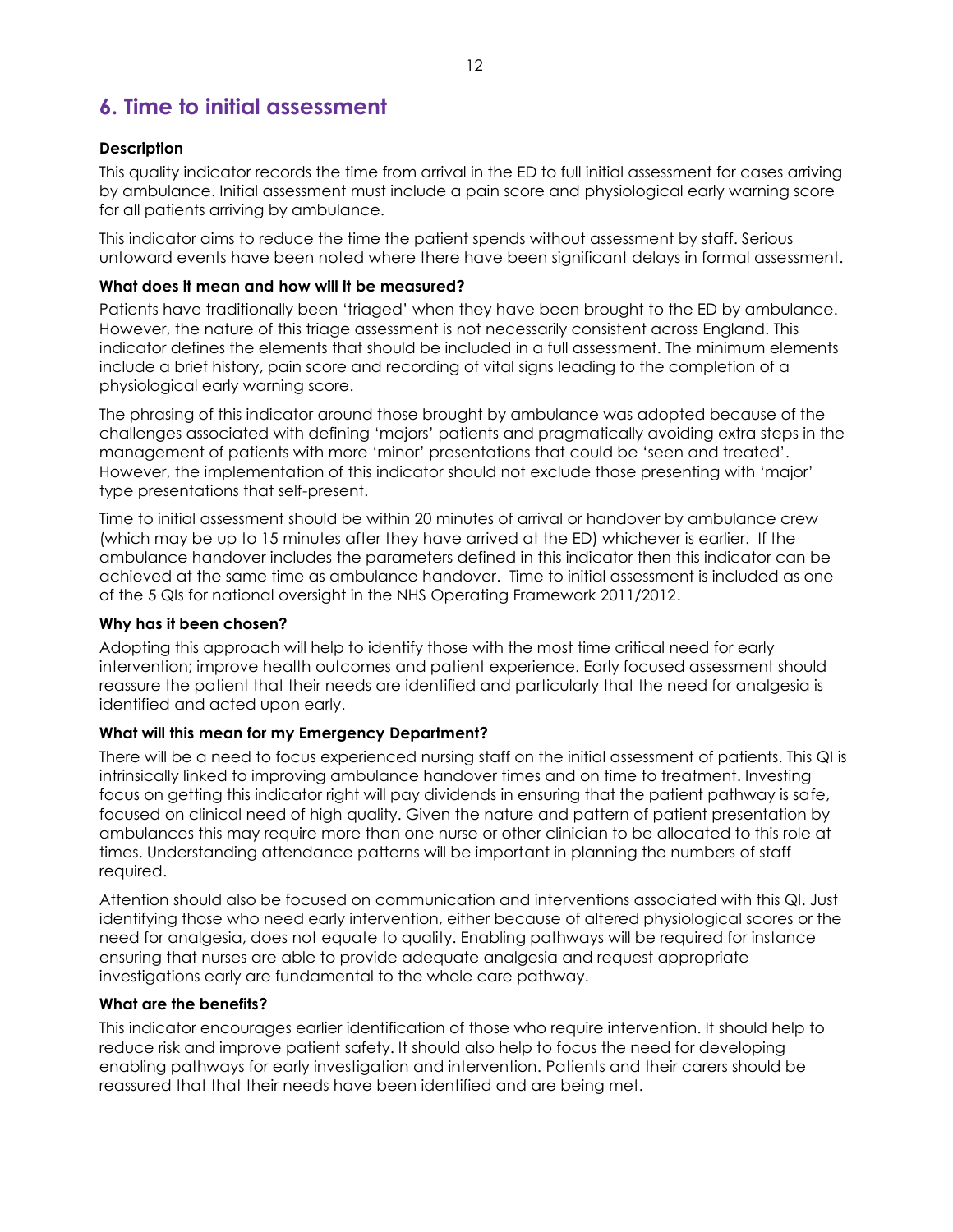# **6. Time to initial assessment**

### **Description**

This quality indicator records the time from arrival in the ED to full initial assessment for cases arriving by ambulance. Initial assessment must include a pain score and physiological early warning score for all patients arriving by ambulance.

This indicator aims to reduce the time the patient spends without assessment by staff. Serious untoward events have been noted where there have been significant delays in formal assessment.

#### **What does it mean and how will it be measured?**

Patients have traditionally been "triaged" when they have been brought to the ED by ambulance. However, the nature of this triage assessment is not necessarily consistent across England. This indicator defines the elements that should be included in a full assessment. The minimum elements include a brief history, pain score and recording of vital signs leading to the completion of a physiological early warning score.

The phrasing of this indicator around those brought by ambulance was adopted because of the challenges associated with defining "majors" patients and pragmatically avoiding extra steps in the management of patients with more "minor" presentations that could be "seen and treated". However, the implementation of this indicator should not exclude those presenting with "major" type presentations that self-present.

Time to initial assessment should be within 20 minutes of arrival or handover by ambulance crew (which may be up to 15 minutes after they have arrived at the ED) whichever is earlier. If the ambulance handover includes the parameters defined in this indicator then this indicator can be achieved at the same time as ambulance handover. Time to initial assessment is included as one of the 5 QIs for national oversight in the NHS Operating Framework 2011/2012.

#### **Why has it been chosen?**

Adopting this approach will help to identify those with the most time critical need for early intervention; improve health outcomes and patient experience. Early focused assessment should reassure the patient that their needs are identified and particularly that the need for analgesia is identified and acted upon early.

# **What will this mean for my Emergency Department?**

There will be a need to focus experienced nursing staff on the initial assessment of patients. This QI is intrinsically linked to improving ambulance handover times and on time to treatment. Investing focus on getting this indicator right will pay dividends in ensuring that the patient pathway is safe, focused on clinical need of high quality. Given the nature and pattern of patient presentation by ambulances this may require more than one nurse or other clinician to be allocated to this role at times. Understanding attendance patterns will be important in planning the numbers of staff required.

Attention should also be focused on communication and interventions associated with this QI. Just identifying those who need early intervention, either because of altered physiological scores or the need for analgesia, does not equate to quality. Enabling pathways will be required for instance ensuring that nurses are able to provide adequate analgesia and request appropriate investigations early are fundamental to the whole care pathway.

#### **What are the benefits?**

This indicator encourages earlier identification of those who require intervention. It should help to reduce risk and improve patient safety. It should also help to focus the need for developing enabling pathways for early investigation and intervention. Patients and their carers should be reassured that that their needs have been identified and are being met.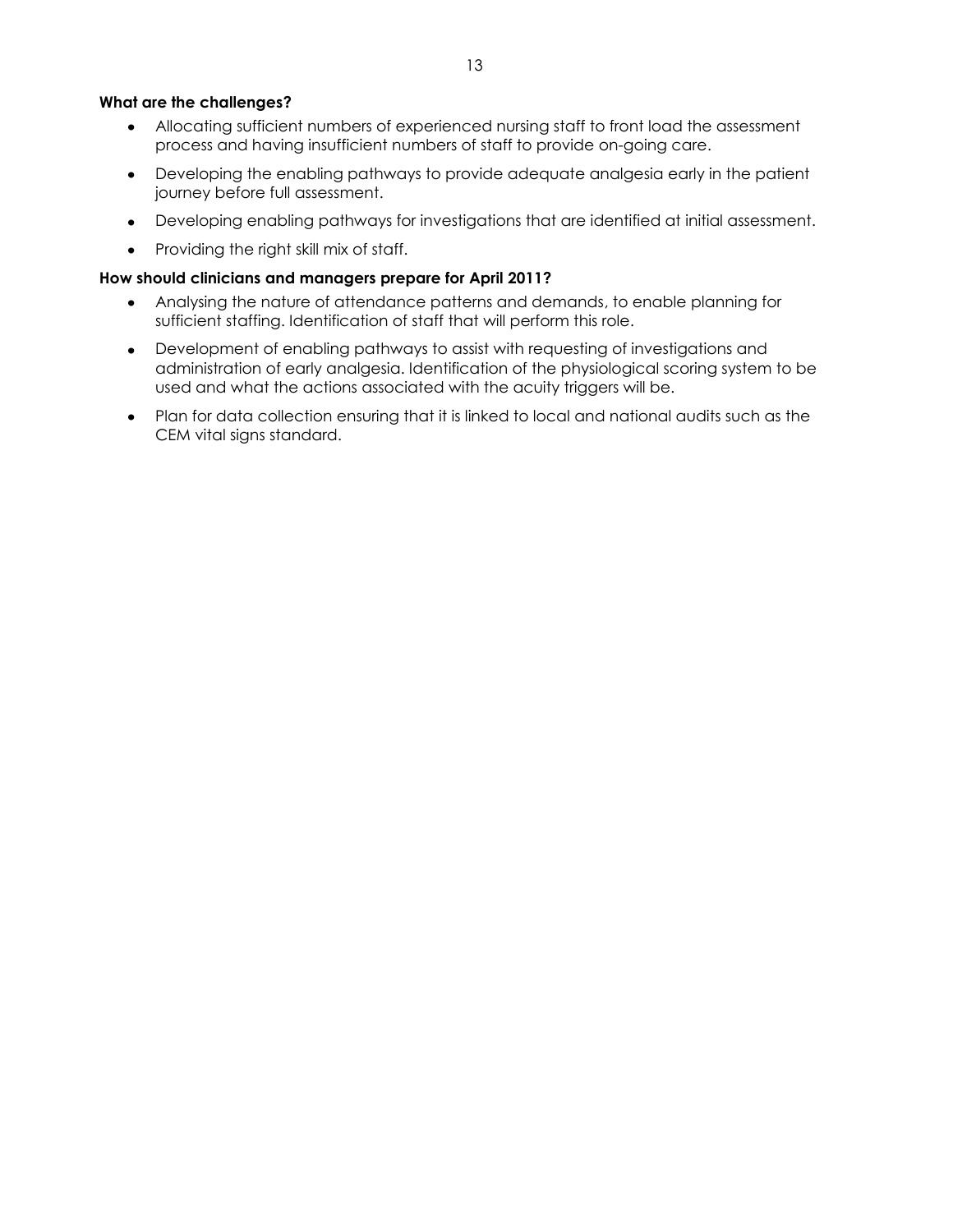#### **What are the challenges?**

- Allocating sufficient numbers of experienced nursing staff to front load the assessment process and having insufficient numbers of staff to provide on-going care.
- Developing the enabling pathways to provide adequate analgesia early in the patient  $\bullet$ journey before full assessment.
- Developing enabling pathways for investigations that are identified at initial assessment.
- Providing the right skill mix of staff.

- Analysing the nature of attendance patterns and demands, to enable planning for sufficient staffing. Identification of staff that will perform this role.
- Development of enabling pathways to assist with requesting of investigations and administration of early analgesia. Identification of the physiological scoring system to be used and what the actions associated with the acuity triggers will be.
- Plan for data collection ensuring that it is linked to local and national audits such as the CEM vital signs standard.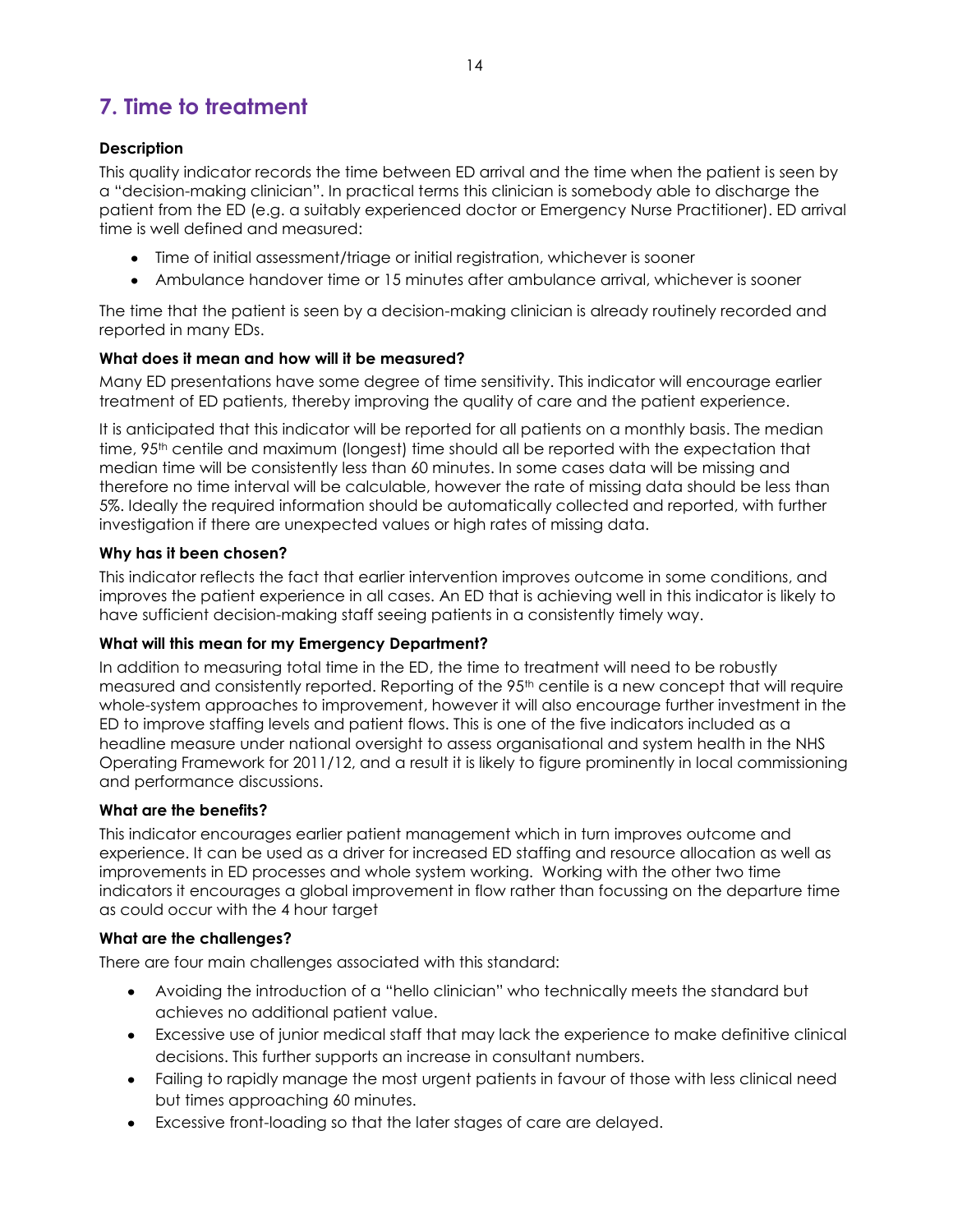# **7. Time to treatment**

# **Description**

This quality indicator records the time between ED arrival and the time when the patient is seen by a "decision-making clinician". In practical terms this clinician is somebody able to discharge the patient from the ED (e.g. a suitably experienced doctor or Emergency Nurse Practitioner). ED arrival time is well defined and measured:

- Time of initial assessment/triage or initial registration, whichever is sooner
- Ambulance handover time or 15 minutes after ambulance arrival, whichever is sooner

The time that the patient is seen by a decision-making clinician is already routinely recorded and reported in many EDs.

# **What does it mean and how will it be measured?**

Many ED presentations have some degree of time sensitivity. This indicator will encourage earlier treatment of ED patients, thereby improving the quality of care and the patient experience.

It is anticipated that this indicator will be reported for all patients on a monthly basis. The median time, 95<sup>th</sup> centile and maximum (longest) time should all be reported with the expectation that median time will be consistently less than 60 minutes. In some cases data will be missing and therefore no time interval will be calculable, however the rate of missing data should be less than 5%. Ideally the required information should be automatically collected and reported, with further investigation if there are unexpected values or high rates of missing data.

# **Why has it been chosen?**

This indicator reflects the fact that earlier intervention improves outcome in some conditions, and improves the patient experience in all cases. An ED that is achieving well in this indicator is likely to have sufficient decision-making staff seeing patients in a consistently timely way.

# **What will this mean for my Emergency Department?**

In addition to measuring total time in the ED, the time to treatment will need to be robustly measured and consistently reported. Reporting of the 95<sup>th</sup> centile is a new concept that will require whole-system approaches to improvement, however it will also encourage further investment in the ED to improve staffing levels and patient flows. This is one of the five indicators included as a headline measure under national oversight to assess organisational and system health in the NHS Operating Framework for 2011/12, and a result it is likely to figure prominently in local commissioning and performance discussions.

# **What are the benefits?**

This indicator encourages earlier patient management which in turn improves outcome and experience. It can be used as a driver for increased ED staffing and resource allocation as well as improvements in ED processes and whole system working. Working with the other two time indicators it encourages a global improvement in flow rather than focussing on the departure time as could occur with the 4 hour target

# **What are the challenges?**

There are four main challenges associated with this standard:

- Avoiding the introduction of a "hello clinician" who technically meets the standard but achieves no additional patient value.
- Excessive use of junior medical staff that may lack the experience to make definitive clinical decisions. This further supports an increase in consultant numbers.
- Failing to rapidly manage the most urgent patients in favour of those with less clinical need but times approaching 60 minutes.
- Excessive front-loading so that the later stages of care are delayed.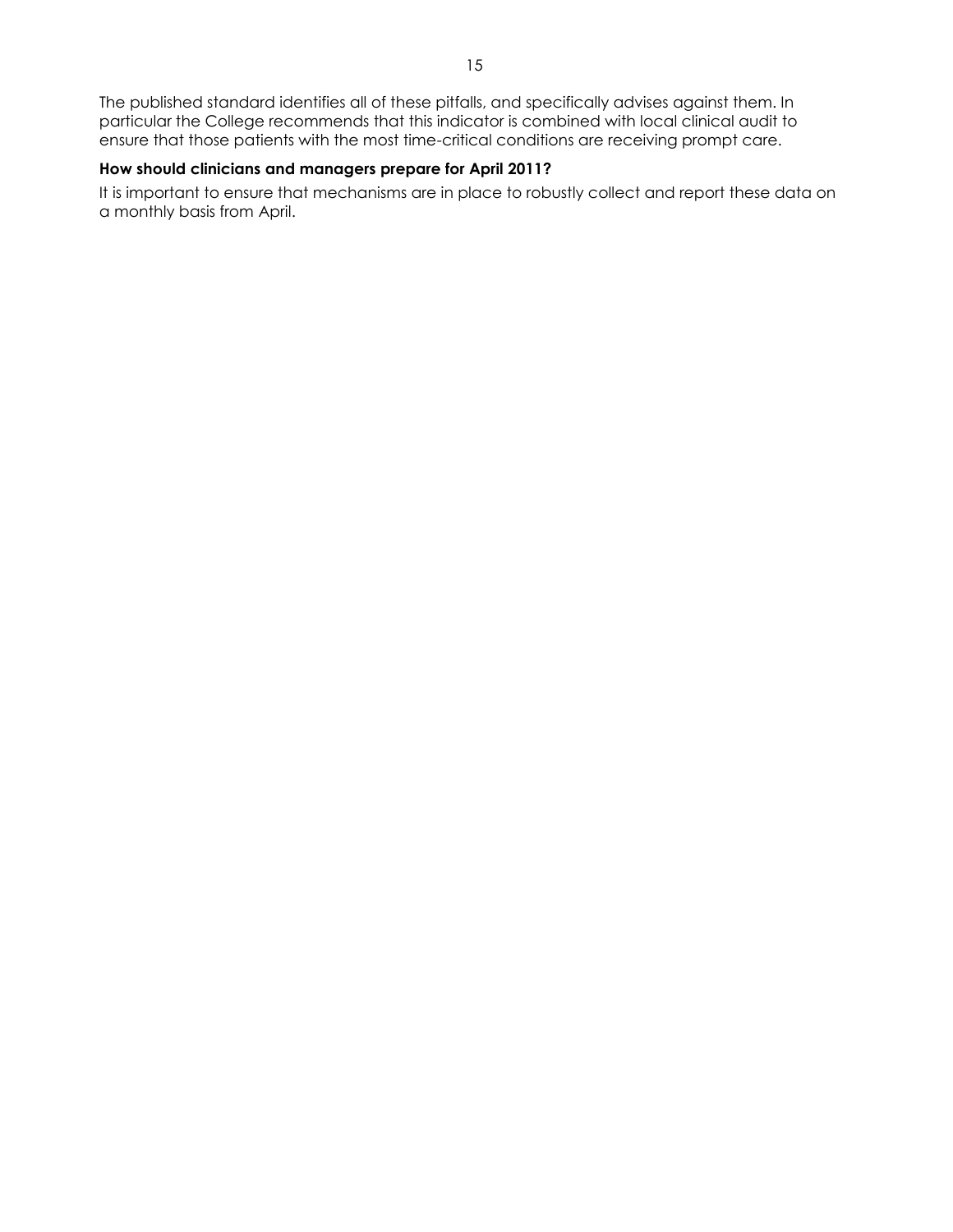The published standard identifies all of these pitfalls, and specifically advises against them. In particular the College recommends that this indicator is combined with local clinical audit to ensure that those patients with the most time-critical conditions are receiving prompt care.

#### **How should clinicians and managers prepare for April 2011?**

It is important to ensure that mechanisms are in place to robustly collect and report these data on a monthly basis from April.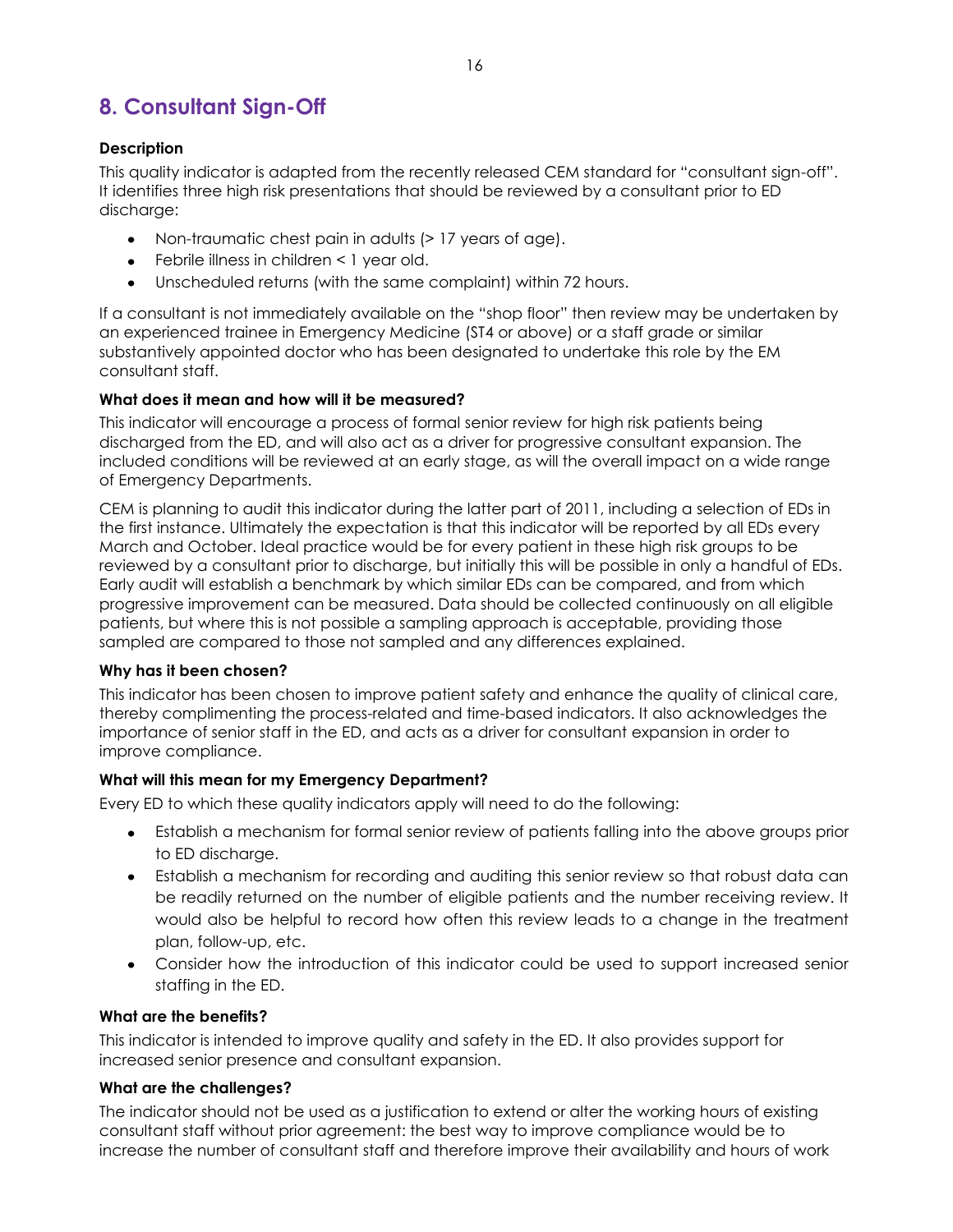# **8. Consultant Sign-Off**

# **Description**

This quality indicator is adapted from the recently released CEM standard for "consultant sign-off". It identifies three high risk presentations that should be reviewed by a consultant prior to ED discharge:

- Non-traumatic chest pain in adults (> 17 years of age).
- Febrile illness in children < 1 year old.
- Unscheduled returns (with the same complaint) within 72 hours.

If a consultant is not immediately available on the "shop floor" then review may be undertaken by an experienced trainee in Emergency Medicine (ST4 or above) or a staff grade or similar substantively appointed doctor who has been designated to undertake this role by the EM consultant staff.

# **What does it mean and how will it be measured?**

This indicator will encourage a process of formal senior review for high risk patients being discharged from the ED, and will also act as a driver for progressive consultant expansion. The included conditions will be reviewed at an early stage, as will the overall impact on a wide range of Emergency Departments.

CEM is planning to audit this indicator during the latter part of 2011, including a selection of EDs in the first instance. Ultimately the expectation is that this indicator will be reported by all EDs every March and October. Ideal practice would be for every patient in these high risk groups to be reviewed by a consultant prior to discharge, but initially this will be possible in only a handful of EDs. Early audit will establish a benchmark by which similar EDs can be compared, and from which progressive improvement can be measured. Data should be collected continuously on all eligible patients, but where this is not possible a sampling approach is acceptable, providing those sampled are compared to those not sampled and any differences explained.

# **Why has it been chosen?**

This indicator has been chosen to improve patient safety and enhance the quality of clinical care, thereby complimenting the process-related and time-based indicators. It also acknowledges the importance of senior staff in the ED, and acts as a driver for consultant expansion in order to improve compliance.

# **What will this mean for my Emergency Department?**

Every ED to which these quality indicators apply will need to do the following:

- Establish a mechanism for formal senior review of patients falling into the above groups prior to ED discharge.
- Establish a mechanism for recording and auditing this senior review so that robust data can be readily returned on the number of eligible patients and the number receiving review. It would also be helpful to record how often this review leads to a change in the treatment plan, follow-up, etc.
- Consider how the introduction of this indicator could be used to support increased senior staffing in the ED.

# **What are the benefits?**

This indicator is intended to improve quality and safety in the ED. It also provides support for increased senior presence and consultant expansion.

# **What are the challenges?**

The indicator should not be used as a justification to extend or alter the working hours of existing consultant staff without prior agreement: the best way to improve compliance would be to increase the number of consultant staff and therefore improve their availability and hours of work